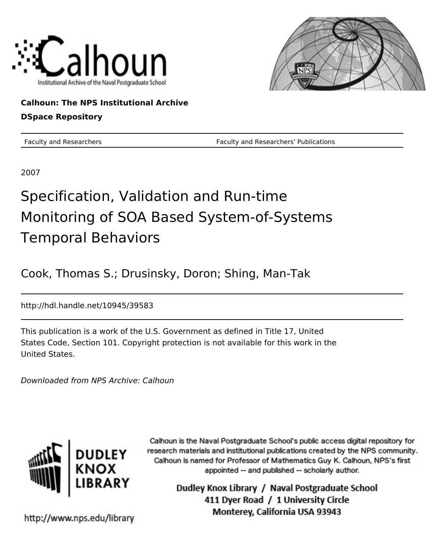



# **Calhoun: The NPS Institutional Archive**

# **DSpace Repository**

Faculty and Researchers Faculty and Researchers' Publications

2007

# Specification, Validation and Run-time Monitoring of SOA Based System-of-Systems Temporal Behaviors

Cook, Thomas S.; Drusinsky, Doron; Shing, Man-Tak

http://hdl.handle.net/10945/39583

This publication is a work of the U.S. Government as defined in Title 17, United States Code, Section 101. Copyright protection is not available for this work in the United States.

Downloaded from NPS Archive: Calhoun



Calhoun is the Naval Postgraduate School's public access digital repository for research materials and institutional publications created by the NPS community. Calhoun is named for Professor of Mathematics Guy K. Calhoun, NPS's first appointed -- and published -- scholarly author.

> Dudley Knox Library / Naval Postgraduate School 411 Dyer Road / 1 University Circle Monterey, California USA 93943

http://www.nps.edu/library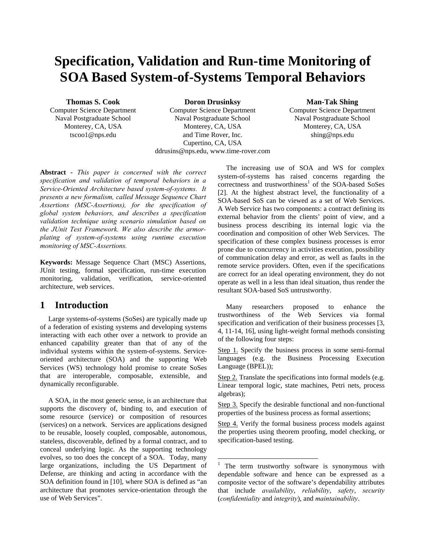# **Specification, Validation and Run-time Monitoring of SOA Based System-of-Systems Temporal Behaviors**

**Thomas S. Cook** 

Computer Science Department Naval Postgraduate School Monterey, CA, USA tscoo1@nps.edu

**Doron Drusinksy**  Computer Science Department Naval Postgraduate School Monterey, CA, USA and Time Rover, Inc. Cupertino, CA, USA ddrusins@nps.edu, www.time-rover.com

 $\overline{a}$ 

#### **Man-Tak Shing**

Computer Science Department Naval Postgraduate School Monterey, CA, USA shing@nps.edu

**Abstract** *- This paper is concerned with the correct specification and validation of temporal behaviors in a Service-Oriented Architecture based system-of-systems. It presents a new formalism, called Message Sequence Chart Assertions (MSC-Assertions), for the specification of global system behaviors, and describes a specification validation technique using scenario simulation based on the JUnit Test Framework. We also describe the armorplating of system-of-systems using runtime execution monitoring of MSC-Assertions.* 

**Keywords:** Message Sequence Chart (MSC) Assertions, JUnit testing, formal specification, run-time execution monitoring, validation, verification, service-oriented architecture, web services.

### **1 Introduction**

Large systems-of-systems (SoSes) are typically made up of a federation of existing systems and developing systems interacting with each other over a network to provide an enhanced capability greater than that of any of the individual systems within the system-of-systems. Serviceoriented architecture (SOA) and the supporting Web Services (WS) technology hold promise to create SoSes that are interoperable, composable, extensible, and dynamically reconfigurable.

A SOA, in the most generic sense, is an architecture that supports the discovery of, binding to, and execution of some resource (service) or composition of resources (services) on a network. Services are applications designed to be reusable, loosely coupled, composable, autonomous, stateless, discoverable, defined by a formal contract, and to conceal underlying logic. As the supporting technology evolves, so too does the concept of a SOA. Today, many large organizations, including the US Department of Defense, are thinking and acting in accordance with the SOA definition found in [10], where SOA is defined as "an architecture that promotes service-orientation through the use of Web Services".

The increasing use of SOA and WS for complex system-of-systems has raised concerns regarding the  $correctness$  and trustworthiness<sup>1</sup> of the SOA-based SoSes [2]. At the highest abstract level, the functionality of a SOA-based SoS can be viewed as a set of Web Services. A Web Service has two components: a contract defining its external behavior from the clients' point of view, and a business process describing its internal logic via the coordination and composition of other Web Services. The specification of these complex business processes is error prone due to concurrency in activities execution, possibility of communication delay and error, as well as faults in the remote service providers. Often, even if the specifications are correct for an ideal operating environment, they do not operate as well in a less than ideal situation, thus render the resultant SOA-based SoS untrustworthy.

Many researchers proposed to enhance the trustworthiness of the Web Services via formal specification and verification of their business processes [3, 4, 11-14, 16], using light-weight formal methods consisting of the following four steps:

Step 1. Specify the business process in some semi-formal languages (e.g. the Business Processing Execution Language (BPEL));

Step 2. Translate the specifications into formal models (e.g. Linear temporal logic, state machines, Petri nets, process algebras);

Step 3. Specify the desirable functional and non-functional properties of the business process as formal assertions;

Step 4. Verify the formal business process models against the properties using theorem proofing, model checking, or specification-based testing.

<sup>&</sup>lt;sup>1</sup> The term trustworthy software is synonymous with dependable software and hence can be expressed as a composite vector of the software's dependability attributes that include *availability*, *reliability*, *safety*, *security* (*confidentiality* and *integrity*), and *maintainability*.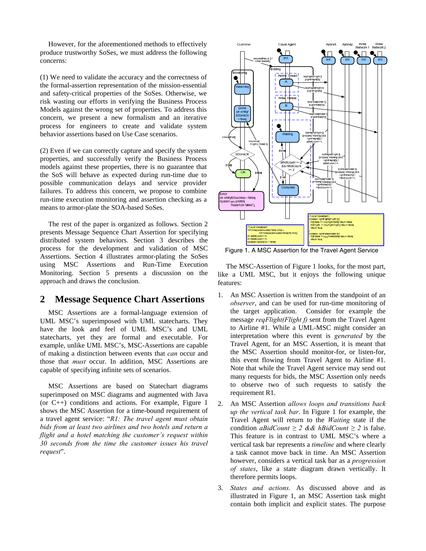However, for the aforementioned methods to effectively produce trustworthy SoSes, we must address the following concerns:

(1) We need to validate the accuracy and the correctness of the formal-assertion representation of the mission-essential and safety-critical properties of the SoSes. Otherwise, we risk wasting our efforts in verifying the Business Process Models against the wrong set of properties. To address this concern, we present a new formalism and an iterative process for engineers to create and validate system behavior assertions based on Use Case scenarios.

(2) Even if we can correctly capture and specify the system properties, and successfully verify the Business Process models against these properties, there is no guarantee that the SoS will behave as expected during run-time due to possible communication delays and service provider failures. To address this concern, we propose to combine run-time execution monitoring and assertion checking as a means to armor-plate the SOA-based SoSes.

The rest of the paper is organized as follows. Section 2 presents Message Sequence Chart Assertion for specifying distributed system behaviors. Section 3 describes the process for the development and validation of MSC Assertions. Section 4 illustrates armor-plating the SoSes using MSC Assertions and Run-Time Execution Monitoring. Section 5 presents a discussion on the approach and draws the conclusion.

#### **2 Message Sequence Chart Assertions**

MSC Assertions are a formal-language extension of UML MSC's superimposed with UML statecharts. They have the look and feel of UML MSC's and UML statecharts, yet they are formal and executable. For example, unlike UML MSC's, MSC-Assertions are capable of making a distinction between events that *can* occur and those that *must* occur. In addition, MSC Assertions are capable of specifying infinite sets of scenarios.

MSC Assertions are based on Statechart diagrams superimposed on MSC diagrams and augmented with Java (or C++) conditions and actions. For example, Figure 1 shows the MSC Assertion for a time-bound requirement of a travel agent service: "*R1: The travel agent must obtain bids from at least two airlines and two hotels and return a flight and a hotel matching the customer's request within 30 seconds from the time the customer issues his travel request*".



Figure 1. A MSC Assertion for the Travel Agent Service

The MSC-Assertion of Figure 1 looks, for the most part, like a UML MSC, but it enjoys the following unique features:

- 1. An MSC Assertion is written from the standpoint of an *observer*, and can be used for run-time monitoring of the target application. Consider for example the message *reqFlight(Flight f)* sent from the Travel Agent to Airline #1. While a UML-MSC might consider an interpretation where this event is *generated* by the Travel Agent, for an MSC Assertion, it is meant that the MSC Assertion should monitor-for, or listen-for, this event flowing from Travel Agent to Airline #1. Note that while the Travel Agent service may send out many requests for bids, the MSC Assertion only needs to observe two of such requests to satisfy the requirement R1.
- 2. An MSC Assertion *allows loops and transitions back up the vertical task bar*. In Figure 1 for example, the Travel Agent will return to the *Waiting* state if the condition *aBidCount*  $\geq$  2 && *hBidCount*  $\geq$  2 is false. This feature is in contrast to UML MSC's where a vertical task bar represents a *timeline* and where clearly a task cannot move back in time. An MSC Assertion however, considers a vertical task bar as a *progression of states*, like a state diagram drawn vertically. It therefore permits loops.
- 3. *States and actions.* As discussed above and as illustrated in Figure 1, an MSC Assertion task might contain both implicit and explicit states. The purpose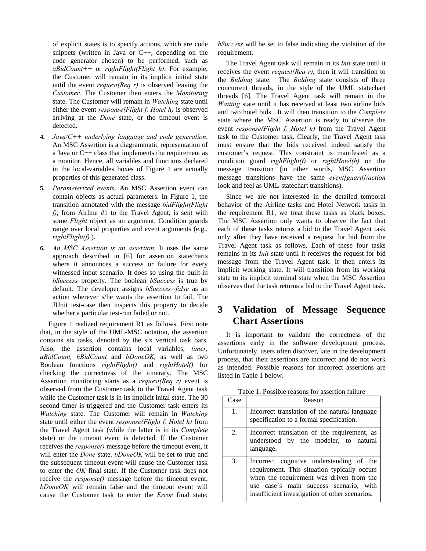of explicit states is to specify actions, which are code snippets (written in Java or C++, depending on the code generator chosen) to be performed, such as *aBidCount++* or *rightFlight(Flight h)*. For example, the Customer will remain in its implicit initial state until the event *request(Req r)* is observed leaving the *Customer.* The Customer then enters the *Monitoring* state. The Customer will remain in *Watching* state until either the event *response(Flight f, Hotel h)* is observed arriving at the *Done* state, or the timeout event is detected.

- **4.** *Java/C++ underlying language and code generation*. An MSC Assertion is a diagrammatic representation of a Java or C++ class that implements the requirement as a monitor. Hence, all variables and functions declared in the local-variables boxes of Figure 1 are actually properties of this generated class.
- **5.** *Parameterized events*. An MSC Assertion event can contain objects as actual parameters. In Figure 1, the transition annotated with the message *bidFlight(Flight f)*, from Airline #1 to the Travel Agent, is sent with some *Flight* object as an argument. Condition guards range over local properties and event arguments (e.g., *rightFlight(f)* ).
- **6.** *An MSC Assertion is an assertion*. It uses the same approach described in [6] for assertion statecharts where it announces a success or failure for every witnessed input scenario. It does so using the built-in *bSuccess* property. The boolean *bSuccess* is true by default. The developer assigns *bSuccess=false* as an action wherever s/he wants the assertion to fail. The JUnit test-case then inspects this property to decide whether a particular test-run failed or not.

Figure 1 realized requirement R1 as follows. First note that, in the style of the UML-MSC notation, the assertion contains six tasks, denoted by the six vertical task bars. Also, the assertion contains local variables, *timer, aBidCount, hBidCount* and *bDoneOK,* as well as two Boolean functions *rightFlight()* and *rightHotel()* for checking the correctness of the itinerary. The MSC Assertion monitoring starts as a *request(Req r)* event is observed from the Customer task to the Travel Agent task while the Customer task is in its implicit inital state. The 30 second timer is triggered and the Customer task enters its *Watching* state. The Customer will remain in *Watching* state until either the event *response(Flight f, Hotel h)* from the Travel Agent task (while the latter is in its *Complete* state) or the timeout event is detected. If the Customer receives the *response()* message before the timeout event, it will enter the *Done* state. *bDoneOK* will be set to true and the subsequent timeout event will cause the Customer task to enter the *OK* final state. If the Customer task does not receive the *response()* message before the timeout event, *bDoneOK* will remain false and the timeout event will cause the Customer task to enter the *Error* final state; *bSuccess* will be set to false indicating the violation of the requirement.

The Travel Agent task will remain in its *Init* state until it receives the event *request(Req r)*, then it will transition to the *Bidding* state. The *Bidding* state consists of three concurrent threads, in the style of the UML statechart threads [6]. The Travel Agent task will remain in the *Waiting* state until it has received at least two airline bids and two hotel bids. It will then transition to the *Complete* state where the MSC Assertion is ready to observe the event *response(Flight f, Hotel h)* from the Travel Agent task to the Customer task. Clearly, the Travel Agent task must ensure that the bids received indeed satisfy the customer's request. This constraint is manifested as a condition guard *righFlight(f)* or *rightHotel(h)* on the message transition (in other words, MSC Assertion message transitions have the same *event[guard]/action* look and feel as UML-statechart transitions).

Since we are not interested in the detailed temporal behavior of the Airline tasks and Hotel Network tasks in the requirement R1, we treat these tasks as black boxes. The MSC Assertion only wants to observe the fact that each of these tasks returns a bid to the Travel Agent task only after they have received a request for bid from the Travel Agent task as follows. Each of these four tasks remains in its *Init* state until it receives the request for bid message from the Travel Agent task. It then enters its implicit working state. It will transition from its working state to its implicit terminal state when the MSC Assertion observes that the task returns a bid to the Travel Agent task.

# **3 Validation of Message Sequence Chart Assertions**

It is important to validate the correctness of the assertions early in the software development process. Unfortunately, users often discover, late in the development process, that their assertions are incorrect and do not work as intended. Possible reasons for incorrect assertions are listed in Table 1 below.

| Table 1. Possible reasons for assertion failure |  |  |
|-------------------------------------------------|--|--|
|-------------------------------------------------|--|--|

| Case | Reason                                                                                                                                                                                                                           |
|------|----------------------------------------------------------------------------------------------------------------------------------------------------------------------------------------------------------------------------------|
| 1.   | Incorrect translation of the natural language<br>specification to a formal specification.                                                                                                                                        |
| 2.   | Incorrect translation of the requirement, as<br>understood by the modeler, to natural<br>language.                                                                                                                               |
| 3.   | Incorrect cognitive understanding of the<br>requirement. This situation typically occurs<br>when the requirement was driven from the<br>use case's main success scenario, with<br>insufficient investigation of other scenarios. |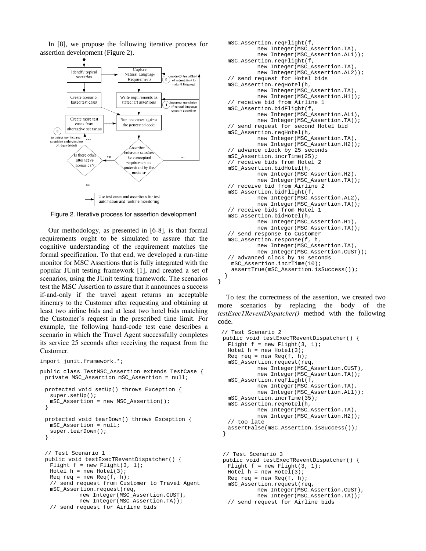In [8], we propose the following iterative process for assertion development (Figure 2).



Figure 2. Iterative process for assertion development

Our methodology, as presented in [6-8], is that formal requirements ought to be simulated to assure that the cognitive understanding of the requirement matches the formal specification. To that end, we developed a run-time monitor for MSC Assertions that is fully integrated with the popular JUnit testing framework [1], and created a set of scenarios, using the JUnit testing framework. The scenarios test the MSC Assertion to assure that it announces a success if-and-only if the travel agent returns an acceptable itinerary to the Customer after requesting and obtaining at least two airline bids and at least two hotel bids matching the Customer's request in the prescribed time limit. For example, the following hand-code test case describes a scenario in which the Travel Agent successfully completes its service 25 seconds after receiving the request from the Customer.

```
import junit.framework.*; 
public class TestMSC_Assertion extends TestCase { 
  private MSC_Assertion mSC_Assertion = null; 
  protected void setUp() throws Exception { 
    super.setUp(); 
    mSC_Assertion = new MSC_Assertion(); 
  } 
  protected void tearDown() throws Exception { 
    mSC_Assertion = null; 
    super.tearDown(); 
  } 
  // Test Scenario 1 
  public void testExecTReventDispatcher() { 
   Flight f = new Flight(3, 1);Hotel h = new Hotel(3);Req req = new \text{Req}(f, h);
    // send request from Customer to Travel Agent 
    mSC_Assertion.request(req, 
             new Integer(MSC_Assertion.CUST), 
             new Integer(MSC_Assertion.TA)); 
    // send request for Airline bids
```

```
 mSC_Assertion.reqFlight(f, 
             new Integer(MSC_Assertion.TA), 
             new Integer(MSC_Assertion.AL1)); 
    mSC_Assertion.reqFlight(f, 
             new Integer(MSC_Assertion.TA), 
             new Integer(MSC_Assertion.AL2)); 
    // send request for Hotel bids 
    mSC_Assertion.reqHotel(h, 
             new Integer(MSC_Assertion.TA), 
             new Integer(MSC_Assertion.H1)); 
    // receive bid from Airline 1 
    mSC_Assertion.bidFlight(f, 
             new Integer(MSC_Assertion.AL1), 
             new Integer(MSC_Assertion.TA)); 
    // send request for second Hotel bid 
    mSC_Assertion.reqHotel(h, 
             new Integer(MSC_Assertion.TA), 
             new Integer(MSC_Assertion.H2)); 
    // advance clock by 25 seconds 
    mSC_Assertion.incrTime(25); 
    // receive bids from Hotel 2 
    mSC_Assertion.bidHotel(h, 
             new Integer(MSC_Assertion.H2), 
             new Integer(MSC_Assertion.TA)); 
    // receive bid from Airline 2 
    mSC_Assertion.bidFlight(f, 
             new Integer(MSC_Assertion.AL2), 
             new Integer(MSC_Assertion.TA)); 
    // receive bids from Hotel 1 
    mSC_Assertion.bidHotel(h, 
             new Integer(MSC_Assertion.H1), 
             new Integer(MSC_Assertion.TA)); 
    // send response to Customer 
    mSC_Assertion.response(f, h, 
             new Integer(MSC_Assertion.TA), 
             new Integer(MSC_Assertion.CUST)); 
    // advanced clock by 10 seconds 
    mSC_Assertion.incrTime(10); 
     assertTrue(mSC_Assertion.isSuccess()); 
 } 
}
```
To test the correctness of the assertion, we created two more scenarios by replacing the body of the *testExecTReventDispatcher()* method with the following code.

```
 // Test Scenario 2 
  public void testExecTReventDispatcher() { 
  Flight f = new Flight(3, 1);Hotel h = new Hotel(3);Req req = new Req(f, h);
   mSC_Assertion.request(req, 
 new Integer(MSC_Assertion.CUST), 
 new Integer(MSC_Assertion.TA)); 
   mSC_Assertion.reqFlight(f, 
            new Integer(MSC_Assertion.TA), 
            new Integer(MSC_Assertion.AL1)); 
   mSC_Assertion.incrTime(35); 
   mSC_Assertion.reqHotel(h, 
            new Integer(MSC_Assertion.TA), 
            new Integer(MSC_Assertion.H2)); 
   // too late 
   assertFalse(mSC_Assertion.isSuccess()); 
  }
```

```
 // Test Scenario 3 
 public void testExecTReventDispatcher() { 
 Flight f = new Flight(3, 1);Hotel h = new Hotel(3);
 Req req = new Req(f, h);
  mSC_Assertion.request(req, 
           new Integer(MSC_Assertion.CUST), 
           new Integer(MSC_Assertion.TA)); 
  // send request for Airline bids
```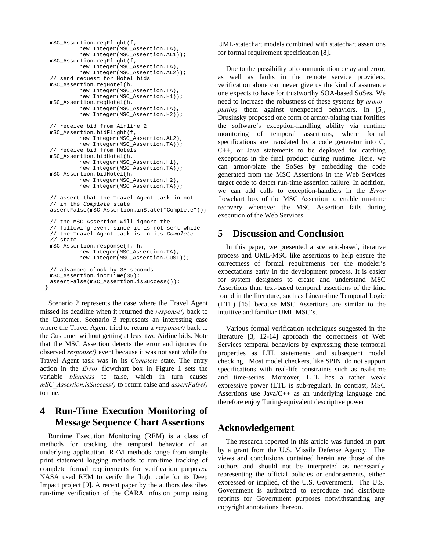```
 mSC_Assertion.reqFlight(f, 
           new Integer(MSC_Assertion.TA), 
           new Integer(MSC_Assertion.AL1)); 
  mSC_Assertion.reqFlight(f, 
           new Integer(MSC_Assertion.TA), 
           new Integer(MSC_Assertion.AL2)); 
  // send request for Hotel bids 
  mSC_Assertion.reqHotel(h, 
           new Integer(MSC_Assertion.TA), 
           new Integer(MSC_Assertion.H1)); 
  mSC_Assertion.reqHotel(h, 
           new Integer(MSC_Assertion.TA), 
           new Integer(MSC_Assertion.H2)); 
  // receive bid from Airline 2 
  mSC_Assertion.bidFlight(f, 
           new Integer(MSC_Assertion.AL2), 
           new Integer(MSC_Assertion.TA)); 
  // receive bid from Hotels 
  mSC_Assertion.bidHotel(h, 
           new Integer(MSC_Assertion.H1), 
           new Integer(MSC_Assertion.TA)); 
  mSC_Assertion.bidHotel(h, 
           new Integer(MSC_Assertion.H2), 
           new Integer(MSC_Assertion.TA)); 
  // assert that the Travel Agent task in not 
  // in the Complete state 
  assertFalse(mSC_Assertion.inState("Complete")); 
  // the MSC Assertion will ignore the 
  // following event since it is not sent while 
  // the Travel Agent task is in its Complete 
  // state 
  mSC_Assertion.response(f, h, 
           new Integer(MSC_Assertion.TA), 
          new Integer(MSC_Assertion.CUST));
  // advanced clock by 35 seconds 
  mSC_Assertion.incrTime(35); 
  assertFalse(mSC_Assertion.isSuccess()); 
 }
```
Scenario 2 represents the case where the Travel Agent missed its deadline when it returned the *response()* back to the Customer. Scenario 3 represents an interesting case where the Travel Agent tried to return a *response()* back to the Customer without getting at least two Airline bids. Note that the MSC Assertion detects the error and ignores the observed *response()* event because it was not sent while the Travel Agent task was in its *Complete* state. The entry action in the *Error* flowchart box in Figure 1 sets the variable *bSuccess* to false, which in turn causes *mSC\_Assertion.isSuccess()* to return false and *assertFalse()* to true.

# **4 Run-Time Execution Monitoring of Message Sequence Chart Assertions**

Runtime Execution Monitoring (REM) is a class of methods for tracking the temporal behavior of an underlying application. REM methods range from simple print statement logging methods to run-time tracking of complete formal requirements for verification purposes. NASA used REM to verify the flight code for its Deep Impact project [9]. A recent paper by the authors describes run-time verification of the CARA infusion pump using

UML-statechart models combined with statechart assertions for formal requirement specification [8].

Due to the possibility of communication delay and error, as well as faults in the remote service providers, verification alone can never give us the kind of assurance one expects to have for trustworthy SOA-based SoSes. We need to increase the robustness of these systems by *armorplating* them against unexpected behaviors. In [5], Drusinsky proposed one form of armor-plating that fortifies the software's exception-handling ability via runtime monitoring of temporal assertions, where formal specifications are translated by a code generator into C, C++, or Java statements to be deployed for catching exceptions in the final product during runtime. Here, we can armor-plate the SoSes by embedding the code generated from the MSC Assertions in the Web Services target code to detect run-time assertion failure. In addition, we can add calls to exception-handlers in the *Error* flowchart box of the MSC Assertion to enable run-time recovery whenever the MSC Assertion fails during execution of the Web Services.

#### **5 Discussion and Conclusion**

In this paper, we presented a scenario-based, iterative process and UML-MSC like assertions to help ensure the correctness of formal requirements per the modeler's expectations early in the development process. It is easier for system designers to create and understand MSC Assertions than text-based temporal assertions of the kind found in the literature, such as Linear-time Temporal Logic (LTL) [15] because MSC Assertions are similar to the intuitive and familiar UML MSC's.

Various formal verification techniques suggested in the literature [3, 12-14] approach the correctness of Web Services temporal behaviors by expressing these temporal properties as LTL statements and subsequent model checking. Most model checkers, like SPIN, do not support specifications with real-life constraints such as real-time and time-series. Moreover, LTL has a rather weak expressive power (LTL is sub-regular). In contrast, MSC Assertions use Java/C++ as an underlying language and therefore enjoy Turing-equivalent descriptive power

# **Acknowledgement**

The research reported in this article was funded in part by a grant from the U.S. Missile Defense Agency. The views and conclusions contained herein are those of the authors and should not be interpreted as necessarily representing the official policies or endorsements, either expressed or implied, of the U.S. Government. The U.S. Government is authorized to reproduce and distribute reprints for Government purposes notwithstanding any copyright annotations thereon.